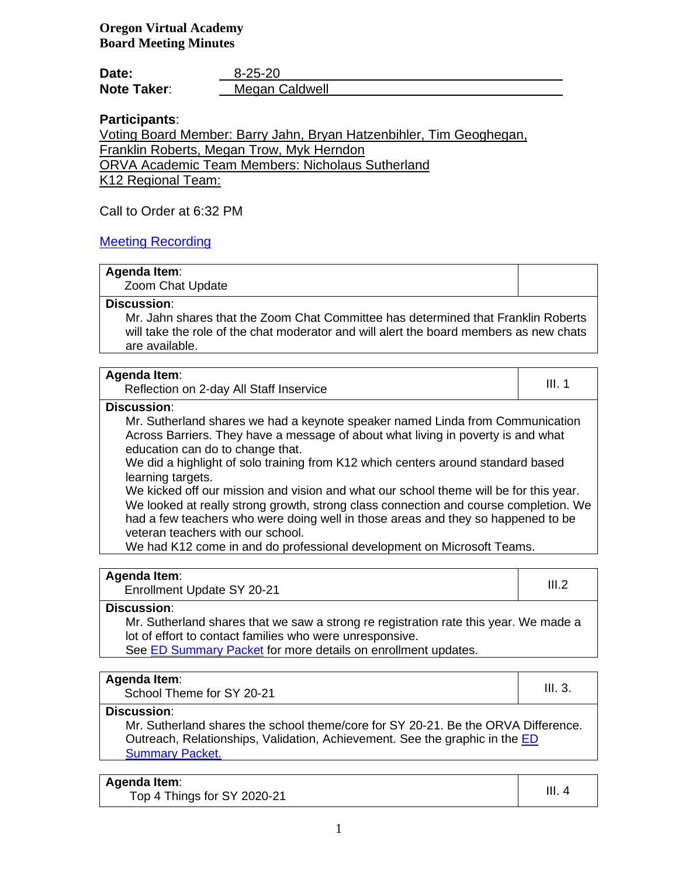| Date:              | $8 - 25 - 20$  |
|--------------------|----------------|
| <b>Note Taker:</b> | Megan Caldwell |

# **Participants**:

Voting Board Member: Barry Jahn, Bryan Hatzenbihler, Tim Geoghegan, Franklin Roberts, Megan Trow, Myk Herndon

ORVA Academic Team Members: Nicholaus Sutherland

K12 Regional Team:

Call to Order at 6:32 PM

# [Meeting Recording](https://k12inc-my.sharepoint.com/personal/mecaldwell_oregonva_org/Documents/Documents/Secretary%20to%20the%20Board/Board%20Meetings/20-21/September%202020/Regular%20Meeting/GMT20200826-010729_Oregon-Vir_2378x1338(1).mp4)

## **Agenda Item**:

Zoom Chat Update

## **Discussion**:

Mr. Jahn shares that the Zoom Chat Committee has determined that Franklin Roberts will take the role of the chat moderator and will alert the board members as new chats are available.

| Agenda Item:<br>Reflection on 2-day All Staff Inservice                                                                                                                                                                                                                                                                                                                                                                                                                                         | III. 1 |
|-------------------------------------------------------------------------------------------------------------------------------------------------------------------------------------------------------------------------------------------------------------------------------------------------------------------------------------------------------------------------------------------------------------------------------------------------------------------------------------------------|--------|
| <b>Discussion:</b>                                                                                                                                                                                                                                                                                                                                                                                                                                                                              |        |
| Mr. Sutherland shares we had a keynote speaker named Linda from Communication<br>Across Barriers. They have a message of about what living in poverty is and what<br>education can do to change that.<br>We did a highlight of solo training from K12 which centers around standard based<br>learning targets.<br>We kicked off our mission and vision and what our school theme will be for this year.<br>We looked at really strong growth, strong class connection and course completion. We |        |
| had a few teachers who were doing well in those areas and they so happened to be<br>veteran teachers with our school.<br>We had K12 come in and do professional development on Microsoft Teams.                                                                                                                                                                                                                                                                                                 |        |

## **Agenda Item**:

enda item.<br>Enrollment Update SY 20-21 III.2

## **Discussion**:

Mr. Sutherland shares that we saw a strong re registration rate this year. We made a lot of effort to contact families who were unresponsive.

See **ED Summary Packet** for more details on enrollment updates.

## **Agenda Item**:

 $\frac{1}{100}$  School Theme for SY 20-21 **III.** 3.

**Discussion**:

Mr. Sutherland shares the school theme/core for SY 20-21. Be the ORVA Difference. Outreach, Relationships, Validation, Achievement. See the graphic in the [ED](https://k12inc-my.sharepoint.com/:b:/g/personal/mecaldwell_oregonva_org/EYRbkiyVaVhAkqOsDfdwPOoBvLPw_D7ox46HnS8SPGJLpg?e=5WdReT)  **[Summary Packet.](https://k12inc-my.sharepoint.com/:b:/g/personal/mecaldwell_oregonva_org/EYRbkiyVaVhAkqOsDfdwPOoBvLPw_D7ox46HnS8SPGJLpg?e=5WdReT)** 

# **Agenda Item**:

Top 4 Things for SY 2020-21  $\vert$  III. 4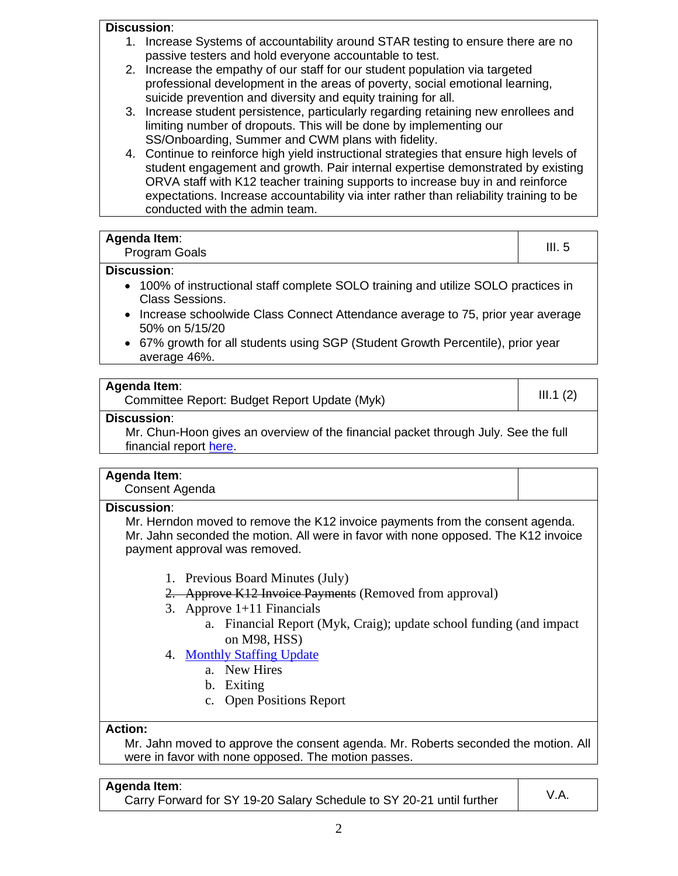## **Discussion**:

- 1. Increase Systems of accountability around STAR testing to ensure there are no passive testers and hold everyone accountable to test.
- 2. Increase the empathy of our staff for our student population via targeted professional development in the areas of poverty, social emotional learning, suicide prevention and diversity and equity training for all.
- 3. Increase student persistence, particularly regarding retaining new enrollees and limiting number of dropouts. This will be done by implementing our SS/Onboarding, Summer and CWM plans with fidelity.
- 4. Continue to reinforce high yield instructional strategies that ensure high levels of student engagement and growth. Pair internal expertise demonstrated by existing ORVA staff with K12 teacher training supports to increase buy in and reinforce expectations. Increase accountability via inter rather than reliability training to be conducted with the admin team.

| Agenda Item:<br><b>Program Goals</b>                                                                      | III.5 |
|-----------------------------------------------------------------------------------------------------------|-------|
| Discussion:<br>$\bullet$ 100% of instructional staff complete SOLO training and utilize SOLO practices in |       |

- 100% of instructional staff complete SOLO training and utilize SOLO practices in Class Sessions.
- Increase schoolwide Class Connect Attendance average to 75, prior year average 50% on 5/15/20
- 67% growth for all students using SGP (Student Growth Percentile), prior year average 46%.

## **Agenda Item**:

chad item.<br>Committee Report: Budget Report Update (Myk) III.1 (2)

## **Discussion**:

Mr. Chun-Hoon gives an overview of the financial packet through July. See the full financial report [here.](https://k12inc-my.sharepoint.com/personal/mecaldwell_oregonva_org/Documents/Documents/Secretary%20to%20the%20Board/Board%20Meetings/20-21/August%202020/Regular%20Meeting%208-25-20/ORVA%20-%20July%20Financials%20and%20FY21%20Budget%20(8-21-20).pptx)

## **Agenda Item**:

Consent Agenda

## **Discussion**:

Mr. Herndon moved to remove the K12 invoice payments from the consent agenda. Mr. Jahn seconded the motion. All were in favor with none opposed. The K12 invoice payment approval was removed.

- 1. Previous Board Minutes (July)
- 2. Approve K12 Invoice Payments (Removed from approval)
- 3. Approve 1+11 Financials
	- a. Financial Report (Myk, Craig); update school funding (and impact on M98, HSS)
- 4. [Monthly Staffing Update](https://k12inc-my.sharepoint.com/personal/mecaldwell_oregonva_org/Documents/Documents/Secretary%20to%20the%20Board/Board%20Meetings/20-21/August%202020/Regular%20Meeting%208-25-20/August%2025th%202020%20Staffing%20Report.pdf)
	- a. New Hires
	- b. Exiting
	- c. Open Positions Report

## **Action:**

Mr. Jahn moved to approve the consent agenda. Mr. Roberts seconded the motion. All were in favor with none opposed. The motion passes.

## **Agenda Item**:

Carry Forward for SY 19-20 Salary Schedule to SY 20-21 until further  $\vert$  V.A.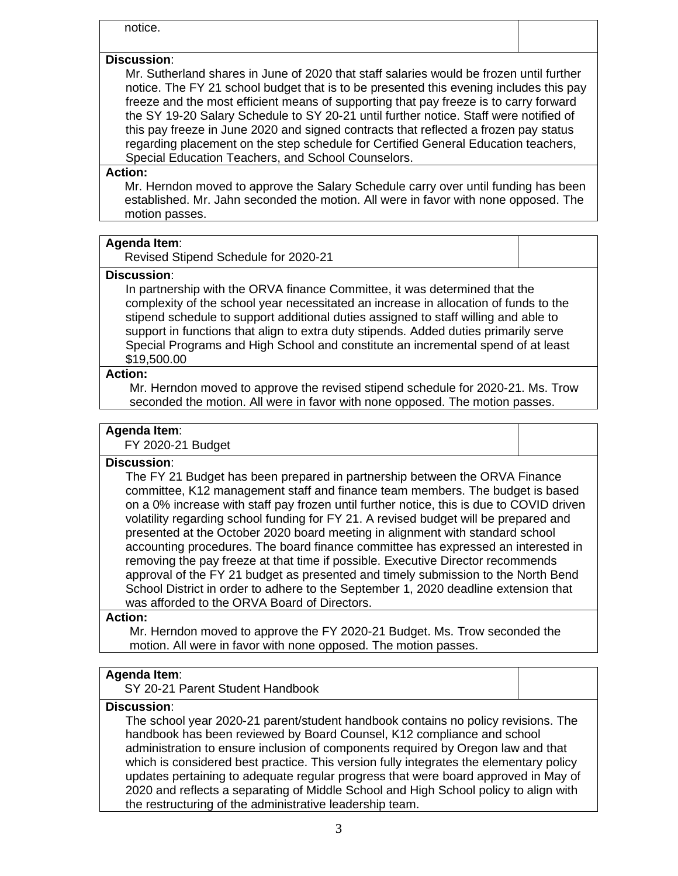notice.

## **Discussion**:

Mr. Sutherland shares in June of 2020 that staff salaries would be frozen until further notice. The FY 21 school budget that is to be presented this evening includes this pay freeze and the most efficient means of supporting that pay freeze is to carry forward the SY 19-20 Salary Schedule to SY 20-21 until further notice. Staff were notified of this pay freeze in June 2020 and signed contracts that reflected a frozen pay status regarding placement on the step schedule for Certified General Education teachers, Special Education Teachers, and School Counselors.

## **Action:**

Mr. Herndon moved to approve the Salary Schedule carry over until funding has been established. Mr. Jahn seconded the motion. All were in favor with none opposed. The motion passes.

#### **Agenda Item**:

Revised Stipend Schedule for 2020-21

#### **Discussion**:

In partnership with the ORVA finance Committee, it was determined that the complexity of the school year necessitated an increase in allocation of funds to the stipend schedule to support additional duties assigned to staff willing and able to support in functions that align to extra duty stipends. Added duties primarily serve Special Programs and High School and constitute an incremental spend of at least \$19,500.00

#### **Action:**

Mr. Herndon moved to approve the revised stipend schedule for 2020-21. Ms. Trow seconded the motion. All were in favor with none opposed. The motion passes.

## **Agenda Item**:

FY 2020-21 Budget

### **Discussion**:

The FY 21 Budget has been prepared in partnership between the ORVA Finance committee, K12 management staff and finance team members. The budget is based on a 0% increase with staff pay frozen until further notice, this is due to COVID driven volatility regarding school funding for FY 21. A revised budget will be prepared and presented at the October 2020 board meeting in alignment with standard school accounting procedures. The board finance committee has expressed an interested in removing the pay freeze at that time if possible. Executive Director recommends approval of the FY 21 budget as presented and timely submission to the North Bend School District in order to adhere to the September 1, 2020 deadline extension that was afforded to the ORVA Board of Directors.

### **Action:**

Mr. Herndon moved to approve the FY 2020-21 Budget. Ms. Trow seconded the motion. All were in favor with none opposed. The motion passes.

## **Agenda Item**:

SY 20-21 Parent Student Handbook

## **Discussion**:

The school year 2020-21 parent/student handbook contains no policy revisions. The handbook has been reviewed by Board Counsel, K12 compliance and school administration to ensure inclusion of components required by Oregon law and that which is considered best practice. This version fully integrates the elementary policy updates pertaining to adequate regular progress that were board approved in May of 2020 and reflects a separating of Middle School and High School policy to align with the restructuring of the administrative leadership team.